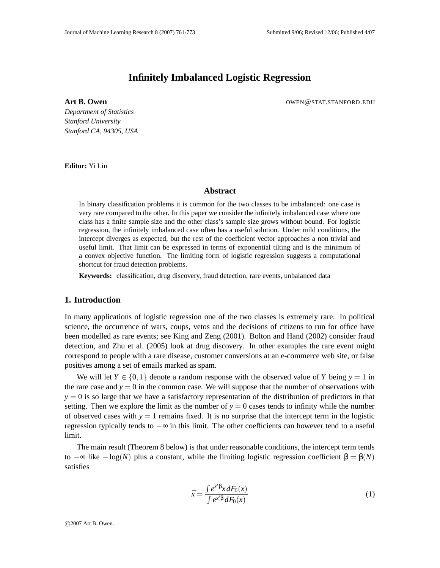# **Infinitely Imbalanced Logistic Regression**

**Art B. Owen OWEN** OWEN **B. Owen CONSUMING A CONSUMING A CONSUMING A CONSUMING A CONSUMING A CONSUMING A CONSUMING A CONSUMING A CONSUMING A CONSUMING A CONSUMING A CONSUMING A CONSUMING A CONSUMING A CONSUMING A CONSU** 

*Department of Statistics Stanford University Stanford CA, 94305, USA*

**Editor:** Yi Lin

## **Abstract**

In binary classification problems it is common for the two classes to be imbalanced: one case is very rare compared to the other. In this paper we consider the infinitely imbalanced case where one class has a finite sample size and the other class's sample size grows without bound. For logistic regression, the infinitely imbalanced case often has a useful solution. Under mild conditions, the intercept diverges as expected, but the rest of the coefficient vector approaches a non trivial and useful limit. That limit can be expressed in terms of exponential tilting and is the minimum of a convex objective function. The limiting form of logistic regression suggests a computational shortcut for fraud detection problems.

**Keywords:** classification, drug discovery, fraud detection, rare events, unbalanced data

## **1. Introduction**

In many applications of logistic regression one of the two classes is extremely rare. In political science, the occurrence of wars, coups, vetos and the decisions of citizens to run for office have been modelled as rare events; see King and Zeng (2001). Bolton and Hand (2002) consider fraud detection, and Zhu et al. (2005) look at drug discovery. In other examples the rare event might correspond to people with a rare disease, customer conversions at an e-commerce web site, or false positives among a set of emails marked as spam.

We will let  $Y \in \{0,1\}$  denote a random response with the observed value of *Y* being  $y = 1$  in the rare case and  $y = 0$  in the common case. We will suppose that the number of observations with  $y = 0$  is so large that we have a satisfactory representation of the distribution of predictors in that setting. Then we explore the limit as the number of  $y = 0$  cases tends to infinity while the number of observed cases with  $y = 1$  remains fixed. It is no surprise that the intercept term in the logistic regression typically tends to −∞ in this limit. The other coefficients can however tend to a useful limit.

The main result (Theorem 8 below) is that under reasonable conditions, the intercept term tends to  $-\infty$  like  $-\log(N)$  plus a constant, while the limiting logistic regression coefficient  $\beta = \beta(N)$ satisfies

$$
\bar{x} = \frac{\int e^{x/\beta} x dF_0(x)}{\int e^{x/\beta} dF_0(x)}\tag{1}
$$

c 2007 Art B. Owen.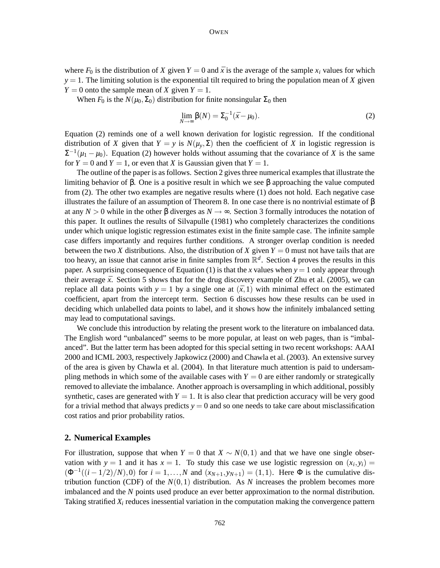where  $F_0$  is the distribution of *X* given  $Y = 0$  and  $\bar{x}$  is the average of the sample  $x_i$  values for which  $y = 1$ . The limiting solution is the exponential tilt required to bring the population mean of *X* given  $Y = 0$  onto the sample mean of *X* given  $Y = 1$ .

When  $F_0$  is the  $N(\mu_0, \Sigma_0)$  distribution for finite nonsingular  $\Sigma_0$  then

$$
\lim_{N \to \infty} \beta(N) = \Sigma_0^{-1} (\bar{x} - \mu_0).
$$
 (2)

Equation (2) reminds one of a well known derivation for logistic regression. If the conditional distribution of *X* given that  $Y = y$  is  $N(\mu_y, \Sigma)$  then the coefficient of *X* in logistic regression is  $\Sigma^{-1}(\mu_1 - \mu_0)$ . Equation (2) however holds without assuming that the covariance of *X* is the same for  $Y = 0$  and  $Y = 1$ , or even that X is Gaussian given that  $Y = 1$ .

The outline of the paper is as follows. Section 2 gives three numerical examples that illustrate the limiting behavior of β. One is a positive result in which we see β approaching the value computed from (2). The other two examples are negative results where (1) does not hold. Each negative case illustrates the failure of an assumption of Theorem 8. In one case there is no nontrivial estimate of  $\beta$ at any  $N > 0$  while in the other β diverges as  $N \rightarrow \infty$ . Section 3 formally introduces the notation of this paper. It outlines the results of Silvapulle (1981) who completely characterizes the conditions under which unique logistic regression estimates exist in the finite sample case. The infinite sample case differs importantly and requires further conditions. A stronger overlap condition is needed between the two *X* distributions. Also, the distribution of *X* given  $Y = 0$  must not have tails that are too heavy, an issue that cannot arise in finite samples from  $\mathbb{R}^d$ . Section 4 proves the results in this paper. A surprising consequence of Equation (1) is that the *x* values when  $y = 1$  only appear through their average  $\bar{x}$ . Section 5 shows that for the drug discovery example of Zhu et al. (2005), we can replace all data points with  $y = 1$  by a single one at  $(\bar{x}, 1)$  with minimal effect on the estimated coefficient, apart from the intercept term. Section 6 discusses how these results can be used in deciding which unlabelled data points to label, and it shows how the infinitely imbalanced setting may lead to computational savings.

We conclude this introduction by relating the present work to the literature on imbalanced data. The English word "unbalanced" seems to be more popular, at least on web pages, than is "imbalanced". But the latter term has been adopted for this special setting in two recent workshops: AAAI 2000 and ICML 2003, respectively Japkowicz (2000) and Chawla et al. (2003). An extensive survey of the area is given by Chawla et al. (2004). In that literature much attention is paid to undersampling methods in which some of the available cases with  $Y = 0$  are either randomly or strategically removed to alleviate the imbalance. Another approach is oversampling in which additional, possibly synthetic, cases are generated with  $Y = 1$ . It is also clear that prediction accuracy will be very good for a trivial method that always predicts  $y = 0$  and so one needs to take care about misclassification cost ratios and prior probability ratios.

### **2. Numerical Examples**

For illustration, suppose that when  $Y = 0$  that  $X \sim N(0,1)$  and that we have one single observation with  $y = 1$  and it has  $x = 1$ . To study this case we use logistic regression on  $(x_i, y_i) =$  $(\Phi^{-1}((i-1/2)/N),0)$  for  $i=1,\ldots,N$  and  $(x_{N+1},y_{N+1})=(1,1)$ . Here  $\Phi$  is the cumulative distribution function (CDF) of the  $N(0,1)$  distribution. As N increases the problem becomes more imbalanced and the *N* points used produce an ever better approximation to the normal distribution. Taking stratified  $X_i$  reduces inessential variation in the computation making the convergence pattern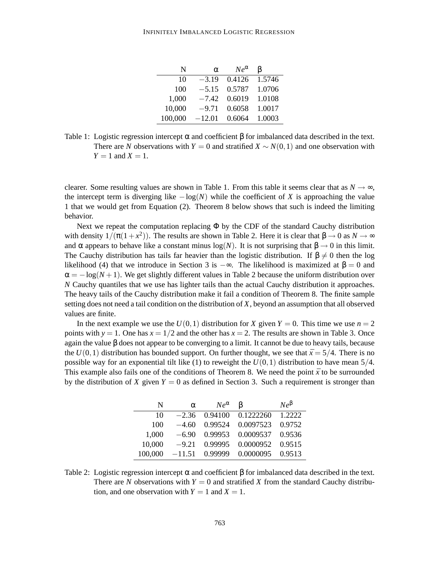| N       | α        | $Ne^{\alpha}$ | B      |
|---------|----------|---------------|--------|
| 10      | $-3.19$  | 0.4126        | 1.5746 |
| 100     | $-5.15$  | 0.5787        | 1.0706 |
| 1,000   | $-7.42$  | 0.6019        | 1.0108 |
| 10,000  | $-9.71$  | 0.6058        | 1.0017 |
| 100,000 | $-12.01$ | 0.6064        | 1.0003 |

Table 1: Logistic regression intercept  $\alpha$  and coefficient  $\beta$  for imbalanced data described in the text. There are *N* observations with  $Y = 0$  and stratified  $X \sim N(0,1)$  and one observation with  $Y = 1$  and  $X = 1$ .

clearer. Some resulting values are shown in Table 1. From this table it seems clear that as  $N \to \infty$ , the intercept term is diverging like  $-\log(N)$  while the coefficient of *X* is approaching the value 1 that we would get from Equation (2). Theorem 8 below shows that such is indeed the limiting behavior.

Next we repeat the computation replacing  $\Phi$  by the CDF of the standard Cauchy distribution with density  $1/(\pi(1+x^2))$ . The results are shown in Table 2. Here it is clear that  $\beta \to 0$  as  $N \to \infty$ and  $\alpha$  appears to behave like a constant minus  $log(N)$ . It is not surprising that  $\beta \rightarrow 0$  in this limit. The Cauchy distribution has tails far heavier than the logistic distribution. If  $\beta \neq 0$  then the log likelihood (4) that we introduce in Section 3 is  $-\infty$ . The likelihood is maximized at  $\beta = 0$  and  $\alpha = -\log(N + 1)$ . We get slightly different values in Table 2 because the uniform distribution over *N* Cauchy quantiles that we use has lighter tails than the actual Cauchy distribution it approaches. The heavy tails of the Cauchy distribution make it fail a condition of Theorem 8. The finite sample setting does not need a tail condition on the distribution of *X*, beyond an assumption that all observed values are finite.

In the next example we use the  $U(0,1)$  distribution for *X* given  $Y = 0$ . This time we use  $n = 2$ points with  $y = 1$ . One has  $x = 1/2$  and the other has  $x = 2$ . The results are shown in Table 3. Once again the value β does not appear to be converging to a limit. It cannot be due to heavy tails, because the  $U(0,1)$  distribution has bounded support. On further thought, we see that  $\bar{x} = 5/4$ . There is no possible way for an exponential tilt like (1) to reweight the  $U(0,1)$  distribution to have mean  $5/4$ . This example also fails one of the conditions of Theorem 8. We need the point  $\bar{x}$  to be surrounded by the distribution of *X* given  $Y = 0$  as defined in Section 3. Such a requirement is stronger than

| N       | $\alpha$ | $Ne^{\alpha}$ | B         | $Ne^{\beta}$ |
|---------|----------|---------------|-----------|--------------|
| 10      | $-2.36$  | 0.94100       | 0.1222260 | 1.2222       |
| 100     | $-4.60$  | 0.99524       | 0.0097523 | 0.9752       |
| 1.000   | $-6.90$  | 0.99953       | 0.0009537 | 0.9536       |
| 10,000  | $-9.21$  | 0.99995       | 0.0000952 | 0.9515       |
| 100,000 | $-11.51$ | 0.99999       | 0.0000095 | 0.9513       |

Table 2: Logistic regression intercept  $\alpha$  and coefficient  $\beta$  for imbalanced data described in the text. There are *N* observations with  $Y = 0$  and stratified *X* from the standard Cauchy distribution, and one observation with  $Y = 1$  and  $X = 1$ .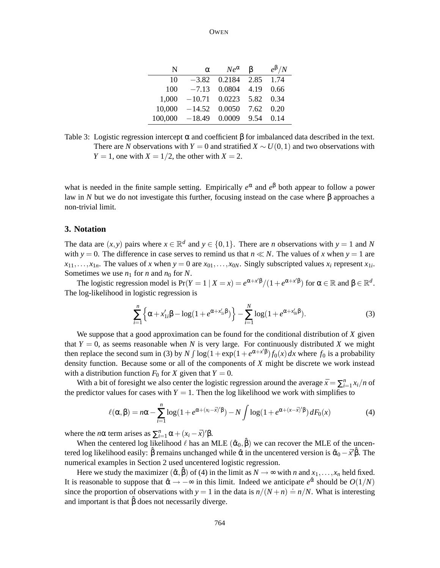| N       | $\alpha$ | $Ne^{\alpha}$ | ß    | $e^{\beta}/N$ |
|---------|----------|---------------|------|---------------|
| 10      | $-3.82$  | 0.2184        | 2.85 | 1.74          |
| 100     | $-7.13$  | 0.0804        | 4.19 | 0.66          |
| 1,000   | $-10.71$ | 0.0223        | 5.82 | 0.34          |
| 10,000  | $-14.52$ | 0.0050        | 7.62 | 0.20          |
| 100,000 | $-18.49$ | 0.0009        | 9.54 | 0.14          |

Table 3: Logistic regression intercept  $\alpha$  and coefficient  $\beta$  for imbalanced data described in the text. There are *N* observations with  $Y = 0$  and stratified  $X \sim U(0,1)$  and two observations with *Y* = 1, one with *X* =  $1/2$ , the other with *X* = 2.

what is needed in the finite sample setting. Empirically  $e^{\alpha}$  and  $e^{\beta}$  both appear to follow a power law in *N* but we do not investigate this further, focusing instead on the case where β approaches a non-trivial limit.

#### **3. Notation**

The data are  $(x, y)$  pairs where  $x \in \mathbb{R}^d$  and  $y \in \{0, 1\}$ . There are *n* observations with  $y = 1$  and *N* with  $y = 0$ . The difference in case serves to remind us that  $n \ll N$ . The values of x when  $y = 1$  are  $x_{11}, \ldots, x_{1n}$ . The values of *x* when  $y = 0$  are  $x_{01}, \ldots, x_{0N}$ . Singly subscripted values  $x_i$  represent  $x_{1i}$ . Sometimes we use  $n_1$  for *n* and  $n_0$  for *N*.

The logistic regression model is  $Pr(Y = 1 | X = x) = e^{\alpha + x' \beta} / (1 + e^{\alpha + x' \beta})$  for  $\alpha \in \mathbb{R}$  and  $\beta \in \mathbb{R}^d$ . The log-likelihood in logistic regression is

$$
\sum_{i=1}^{n} \left\{ \alpha + x'_{1i} \beta - \log(1 + e^{\alpha + x'_{1i}\beta}) \right\} - \sum_{i=1}^{N} \log(1 + e^{\alpha + x'_{0i}\beta}). \tag{3}
$$

We suppose that a good approximation can be found for the conditional distribution of *X* given that  $Y = 0$ , as seems reasonable when *N* is very large. For continuously distributed *X* we might then replace the second sum in (3) by  $N \int \log(1+\exp(1+e^{\alpha+x/\beta}) f_0(x) dx$  where  $f_0$  is a probability density function. Because some or all of the components of *X* might be discrete we work instead with a distribution function  $F_0$  for *X* given that  $Y = 0$ .

With a bit of foresight we also center the logistic regression around the average  $\bar{x} = \sum_{i=1}^{n} x_i/n$  of the predictor values for cases with  $Y = 1$ . Then the log likelihood we work with simplifies to

$$
\ell(\alpha,\beta) = n\alpha - \sum_{i=1}^{n} \log(1 + e^{\alpha + (x_i - \bar{x})'\beta}) - N \int \log(1 + e^{\alpha + (x - \bar{x})'\beta}) dF_0(x)
$$
(4)

where the *n* $\alpha$  term arises as  $\sum_{i=1}^{n} \alpha + (x_i - \bar{x})' \beta$ .

When the centered log likelihood  $\ell$  has an MLE  $(\hat{\alpha}_0, \hat{\beta})$  we can recover the MLE of the uncentered log likelihood easily:  $\hat{\beta}$  remains unchanged while  $\hat{\alpha}$  in the uncentered version is  $\hat{\alpha}_0 - \bar{x}'\hat{\beta}$ . The numerical examples in Section 2 used uncentered logistic regression.

Here we study the maximizer  $(\hat{\alpha}, \hat{\beta})$  of (4) in the limit as  $N \to \infty$  with *n* and  $x_1, \ldots, x_n$  held fixed. It is reasonable to suppose that  $\hat{\alpha} \rightarrow -\infty$  in this limit. Indeed we anticipate  $e^{\hat{\alpha}}$  should be  $O(1/N)$ since the proportion of observations with  $y = 1$  in the data is  $n/(N + n) = n/N$ . What is interesting and important is that  $\hat{\beta}$  does not necessarily diverge.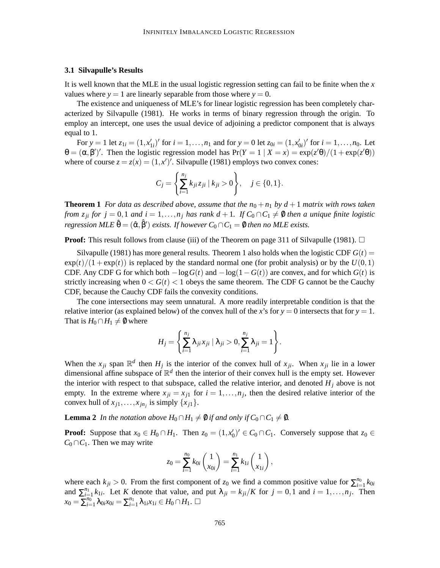#### **3.1 Silvapulle's Results**

It is well known that the MLE in the usual logistic regression setting can fail to be finite when the *x* values where  $y = 1$  are linearly separable from those where  $y = 0$ .

The existence and uniqueness of MLE's for linear logistic regression has been completely characterized by Silvapulle (1981). He works in terms of binary regression through the origin. To employ an intercept, one uses the usual device of adjoining a predictor component that is always equal to 1.

For  $y = 1$  let  $z_{1i} = (1, x'_{1i})'$  for  $i = 1, ..., n_1$  and for  $y = 0$  let  $z_{0i} = (1, x'_{0i})'$  for  $i = 1, ..., n_0$ . Let  $\theta = (\alpha, \beta')'$ . Then the logistic regression model has  $Pr(Y = 1 | X = x) = exp(z'\theta)/(1 + exp(z'\theta))$ where of course  $z = z(x) = (1, x')'$ . Silvapulle (1981) employs two convex cones:

$$
C_j = \left\{ \sum_{i=1}^{n_j} k_{ji} z_{ji} \mid k_{ji} > 0 \right\}, \quad j \in \{0, 1\}.
$$

**Theorem 1** For data as described above, assume that the  $n_0 + n_1$  by  $d + 1$  matrix with rows taken from  $z_{ji}$  for  $j = 0, 1$  and  $i = 1, ..., n_j$  has rank  $d + 1$ . If  $C_0 \cap C_1 \neq \emptyset$  then a unique finite logistic *regression MLE*  $\hat{\theta} = (\hat{\alpha}, \hat{\beta}')$  *exists. If however*  $C_0 \cap C_1 = \emptyset$  *then no MLE exists.* 

**Proof:** This result follows from clause (iii) of the Theorem on page 311 of Silvapulle (1981).  $\Box$ 

Silvapulle (1981) has more general results. Theorem 1 also holds when the logistic CDF  $G(t)$  =  $\exp(t)/(1 + \exp(t))$  is replaced by the standard normal one (for probit analysis) or by the  $U(0,1)$ CDF. Any CDF G for which both  $-\log G(t)$  and  $-\log(1-G(t))$  are convex, and for which  $G(t)$  is strictly increasing when  $0 < G(t) < 1$  obeys the same theorem. The CDF G cannot be the Cauchy CDF, because the Cauchy CDF fails the convexity conditions.

The cone intersections may seem unnatural. A more readily interpretable condition is that the relative interior (as explained below) of the convex hull of the *x*'s for  $y = 0$  intersects that for  $y = 1$ . That is  $H_0 \cap H_1 \neq \emptyset$  where

$$
H_j=\left\{\sum_{i=1}^{n_j}\lambda_{ji}x_{ji}\mid\lambda_{ji}>0,\sum_{i=1}^{n_j}\lambda_{ji}=1\right\}.
$$

When the  $x_{ji}$  span  $\mathbb{R}^d$  then  $H_j$  is the interior of the convex hull of  $x_{ji}$ . When  $x_{ji}$  lie in a lower dimensional affine subspace of  $\mathbb{R}^d$  then the interior of their convex hull is the empty set. However the interior with respect to that subspace, called the relative interior, and denoted  $H_i$  above is not empty. In the extreme where  $x_{ji} = x_{j1}$  for  $i = 1, \ldots, n_j$ , then the desired relative interior of the convex hull of  $x_{j1}, \ldots, x_{jn_j}$  is simply  $\{x_{j1}\}.$ 

**Lemma** 2 *In the notation above*  $H_0 \cap H_1 \neq \emptyset$  *if and only if*  $C_0 \cap C_1 \neq \emptyset$ *.* 

**Proof:** Suppose that  $x_0 \in H_0 \cap H_1$ . Then  $z_0 = (1, x'_0)' \in C_0 \cap C_1$ . Conversely suppose that  $z_0 \in$  $C_0 \cap C_1$ . Then we may write

$$
z_0 = \sum_{i=1}^{n_0} k_{0i} \begin{pmatrix} 1 \\ x_{0i} \end{pmatrix} = \sum_{i=1}^{n_1} k_{1i} \begin{pmatrix} 1 \\ x_{1i} \end{pmatrix},
$$

where each  $k_{ji} > 0$ . From the first component of  $z_0$  we find a common positive value for  $\sum_{i=1}^{n_0} k_{0i}$ and  $\sum_{i=1}^{n_1} k_{1i}$ . Let *K* denote that value, and put  $\lambda_{ji} = k_{ji}/K$  for  $j = 0, 1$  and  $i = 1, ..., n_j$ . Then  $x_0 = \sum_{i=1}^{n_0} \lambda_{0i} x_{0i} = \sum_{i=1}^{n_1} \lambda_{1i} x_{1i} \in H_0 \cap H_1$ .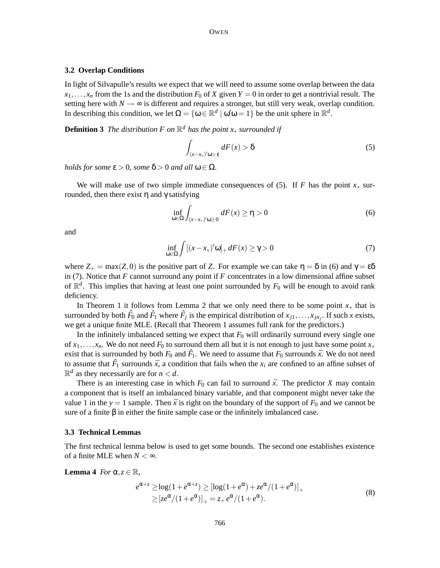### **3.2 Overlap Conditions**

In light of Silvapulle's results we expect that we will need to assume some overlap between the data  $x_1, \ldots, x_n$  from the 1s and the distribution  $F_0$  of X given  $Y = 0$  in order to get a nontrivial result. The setting here with  $N \rightarrow \infty$  is different and requires a stronger, but still very weak, overlap condition. In describing this condition, we let  $\Omega = \{ \omega \in \mathbb{R}^d \mid \omega' \omega = 1 \}$  be the unit sphere in  $\mathbb{R}^d$ .

**Definition 3** *The distribution F on* R *<sup>d</sup> has the point x*<sup>∗</sup> *surrounded if*

$$
\int_{(x-x_*)'\omega>\varepsilon} dF(x) > \delta
$$
\n(5)

*holds for some*  $\varepsilon > 0$ *, some*  $\delta > 0$  *and all*  $\omega \in \Omega$ *.* 

We will make use of two simple immediate consequences of (5). If *F* has the point *x*<sup>∗</sup> surrounded, then there exist η and γ satisfying

$$
\inf_{\omega \in \Omega} \int_{(x-x_*)'\omega \ge 0} dF(x) \ge \eta > 0 \tag{6}
$$

and

$$
\inf_{\omega \in \Omega} \int [(x - x_*)'\omega]_+ dF(x) \ge \gamma > 0 \tag{7}
$$

where  $Z_+ = \max(Z, 0)$  is the positive part of *Z*. For example we can take  $\eta = \delta$  in (6) and  $\gamma = \epsilon \delta$ in (7). Notice that  $F$  cannot surround any point if  $F$  concentrates in a low dimensional affine subset of  $\mathbb{R}^d$ . This implies that having at least one point surrounded by  $F_0$  will be enough to avoid rank deficiency.

In Theorem 1 it follows from Lemma 2 that we only need there to be some point *x*<sup>∗</sup> that is surrounded by both  $\hat{F}_0$  and  $\hat{F}_1$  where  $\hat{F}_j$  is the empirical distribution of  $x_{j1},...,x_{jn_j}$ . If such *x* exists, we get a unique finite MLE. (Recall that Theorem 1 assumes full rank for the predictors.)

In the infinitely imbalanced setting we expect that  $F_0$  will ordinarily surround every single one of  $x_1, \ldots, x_n$ . We do not need  $F_0$  to surround them all but it is not enough to just have some point  $x_*$ exist that is surrounded by both  $F_0$  and  $\hat{F}_1$ . We need to assume that  $F_0$  surrounds  $\bar{x}$ . We do not need to assume that  $\hat{F}_1$  surrounds  $\bar{x}$ , a condition that fails when the  $x_i$  are confined to an affine subset of  $\mathbb{R}^d$  as they necessarily are for  $n < d$ .

There is an interesting case in which  $F_0$  can fail to surround  $\bar{x}$ . The predictor *X* may contain a component that is itself an imbalanced binary variable, and that component might never take the value 1 in the  $y = 1$  sample. Then  $\bar{x}$  is right on the boundary of the support of  $F_0$  and we cannot be sure of a finite  $\beta$  in either the finite sample case or the infinitely imbalanced case.

#### **3.3 Technical Lemmas**

The first technical lemma below is used to get some bounds. The second one establishes existence of a finite MLE when  $N < \infty$ .

**Lemma** 4 *For*  $\alpha, z \in \mathbb{R}$ *,* 

$$
e^{\alpha + z} \ge \log(1 + e^{\alpha + z}) \ge [\log(1 + e^{\alpha}) + ze^{\alpha}/(1 + e^{\alpha})]_{+}
$$
  
 
$$
\ge [ze^{\alpha}/(1 + e^{\alpha})]_{+} = z_{+}e^{\alpha}/(1 + e^{\alpha}).
$$
 (8)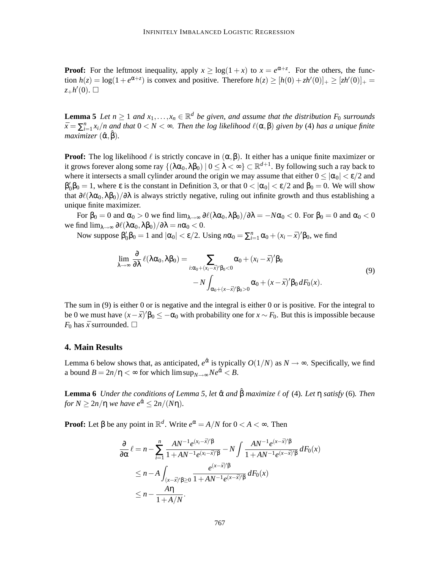**Proof:** For the leftmost inequality, apply  $x \geq \log(1+x)$  to  $x = e^{\alpha+z}$ . For the others, the function  $h(z) = \log(1 + e^{\alpha + z})$  is convex and positive. Therefore  $h(z) \ge [h(0) + zh'(0)]_+ \ge [zh'(0)]_+ =$  $z_+h'(0)$ .  $\square$ 

**Lemma 5** Let  $n \geq 1$  and  $x_1, \ldots, x_n \in \mathbb{R}^d$  be given, and assume that the distribution  $F_0$  surrounds  $\bar{x} = \sum_{i=1}^n x_i/n$  and that  $0 < N < \infty$ . Then the log likelihood  $\ell(\alpha, \beta)$  given by (4) has a unique finite *maximizer* ( $\hat{\alpha}, \hat{\beta}$ ).

**Proof:** The log likelihood  $\ell$  is strictly concave in  $(\alpha, \beta)$ . It either has a unique finite maximizer or it grows forever along some ray {(λα<sub>0</sub>,λβ<sub>0</sub>) | 0 ≤ λ < ∞} ⊂  $\mathbb{R}^{d+1}$ . By following such a ray back to where it intersects a small cylinder around the origin we may assume that either  $0 \leq |\alpha_0| < \varepsilon/2$  and  $\beta'_0\beta_0 = 1$ , where  $\varepsilon$  is the constant in Definition 3, or that  $0 < |\alpha_0| < \varepsilon/2$  and  $\beta_0 = 0$ . We will show that  $\partial\ell(\lambda\alpha_0,\lambda\beta_0)/\partial\lambda$  is always strictly negative, ruling out infinite growth and thus establishing a unique finite maximizer.

For  $\beta_0 = 0$  and  $\alpha_0 > 0$  we find  $\lim_{\lambda \to \infty} \frac{\partial \ell(\lambda \alpha_0, \lambda \beta_0)}{\partial \lambda} = -N\alpha_0 < 0$ . For  $\beta_0 = 0$  and  $\alpha_0 < 0$ . we find  $\lim_{\lambda \to \infty} \frac{\partial \ell(\lambda \alpha_0, \lambda \beta_0)}{\partial \lambda} = n \alpha_0 < 0.$ 

Now suppose  $\beta'_0\beta_0 = 1$  and  $|\alpha_0| < \varepsilon/2$ . Using  $n\alpha_0 = \sum_{i=1}^n \alpha_0 + (x_i - \bar{x})'\beta_0$ , we find

$$
\lim_{\lambda \to \infty} \frac{\partial}{\partial \lambda} \ell(\lambda \alpha_0, \lambda \beta_0) = \sum_{i: \alpha_0 + (x_i - \bar{x})' \beta_0 < 0} \alpha_0 + (x_i - \bar{x})' \beta_0 \n- N \int_{\alpha_0 + (x - \bar{x})' \beta_0 > 0} \alpha_0 + (x - \bar{x})' \beta_0 \, dF_0(x).
$$
\n
$$
(9)
$$

The sum in (9) is either 0 or is negative and the integral is either 0 or is positive. For the integral to be 0 we must have  $(x - \bar{x})' \beta_0 \le -\alpha_0$  with probability one for  $x \sim F_0$ . But this is impossible because *F*<sup>0</sup> has  $\bar{x}$  surrounded.  $\Box$ 

### **4. Main Results**

Lemma 6 below shows that, as anticipated,  $e^{\hat{\alpha}}$  is typically  $O(1/N)$  as  $N \to \infty$ . Specifically, we find a bound  $B = 2n/\eta < \infty$  for which  $\limsup_{N \to \infty} Ne^{\hat{\alpha}} < B$ .

**Lemma 6** *Under the conditions of Lemma 5, let* αˆ *and* ˆβ *maximize* ` *of* (4)*. Let* η *satisfy* (6)*. Then for*  $N \ge 2n/\eta$  *we have*  $e^{\hat{\alpha}} \le 2n/(N\eta)$ *.* 

**Proof:** Let  $\beta$  be any point in  $\mathbb{R}^d$ . Write  $e^{\alpha} = A/N$  for  $0 < A < \infty$ . Then

$$
\frac{\partial}{\partial \alpha} \ell = n - \sum_{i=1}^{n} \frac{AN^{-1}e^{(x_i - \bar{x})'\beta}}{1 + AN^{-1}e^{(x_i - \bar{x})'\beta}} - N \int \frac{AN^{-1}e^{(x - \bar{x})'\beta}}{1 + AN^{-1}e^{(x - \bar{x})'\beta}} dF_0(x)
$$
  
\n
$$
\leq n - A \int_{(x - \bar{x})'\beta \geq 0} \frac{e^{(x - \bar{x})'\beta}}{1 + AN^{-1}e^{(x - \bar{x})'\beta}} dF_0(x)
$$
  
\n
$$
\leq n - \frac{A\eta}{1 + A/N}.
$$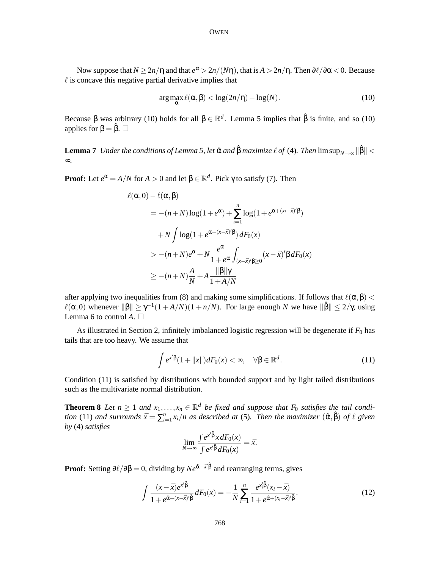Now suppose that  $N \geq 2n/\eta$  and that  $e^{\alpha} > 2n/(N\eta)$ , that is  $A > 2n/\eta$ . Then  $\partial \ell/\partial \alpha < 0$ . Because  $\ell$  is concave this negative partial derivative implies that

$$
\arg\max_{\alpha} \ell(\alpha, \beta) < \log(2n/\eta) - \log(N). \tag{10}
$$

Because  $\beta$  was arbitrary (10) holds for all  $\beta \in \mathbb{R}^d$ . Lemma 5 implies that  $\hat{\beta}$  is finite, and so (10) applies for  $\beta = \hat{\beta}$ .  $\Box$ 

Lemma  $7$  *Under the conditions of Lemma 5, let*  $\hat{\alpha}$  *and*  $\hat{\beta}$  *maximize*  $\ell$  *of* (4)*. Then* limsup $_{N\to\infty} \|\hat{\beta}\|$  < ∞*.*

**Proof:** Let  $e^{\alpha} = A/N$  for  $A > 0$  and let  $\beta \in \mathbb{R}^d$ . Pick  $\gamma$  to satisfy (7). Then

$$
\ell(\alpha,0) - \ell(\alpha,\beta)
$$
  
=  $-(n+N)\log(1+e^{\alpha}) + \sum_{i=1}^{n} \log(1+e^{\alpha + (x_i - \bar{x})'\beta})$   
+  $N \int \log(1+e^{\alpha + (x-\bar{x})'\beta}) dF_0(x)$   
 $> -(n+N)e^{\alpha} + N \frac{e^{\alpha}}{1+e^{\alpha}} \int_{(x-\bar{x})'\beta \ge 0} (x-\bar{x})'\beta dF_0(x)$   
 $\ge -(n+N)\frac{A}{N} + A \frac{\|\beta\|\gamma}{1+A/N}$ 

after applying two inequalities from (8) and making some simplifications. If follows that  $\ell(\alpha, \beta)$  <  $\ell(\alpha,0)$  whenever  $\|\beta\| \geq \gamma^{-1}(1+A/N)(1+n/N)$ . For large enough *N* we have  $\|\hat{\beta}\| \leq 2/\gamma$ , using Lemma 6 to control  $A \square$ 

As illustrated in Section 2, infinitely imbalanced logistic regression will be degenerate if  $F_0$  has tails that are too heavy. We assume that

$$
\int e^{x'\beta}(1+\|x\|)dF_0(x)<\infty,\quad\forall\beta\in\mathbb{R}^d.\tag{11}
$$

Condition (11) is satisfied by distributions with bounded support and by light tailed distributions such as the multivariate normal distribution.

**Theorem 8** Let  $n \ge 1$  and  $x_1, ..., x_n \in \mathbb{R}^d$  be fixed and suppose that  $F_0$  satisfies the tail condition (11) and surrounds  $\bar{x} = \sum_{i=1}^{n} x_i/n$  as described at (5). Then the maximizer  $(\hat{\alpha}, \hat{\beta})$  of  $\ell$  given *by* (4) *satisfies*

$$
\lim_{N \to \infty} \frac{\int e^{x'^{\hat{\beta}} x dF_0(x)}}{\int e^{x'^{\hat{\beta}} dF_0(x)}} = \bar{x}.
$$

**Proof:** Setting  $\partial \ell / \partial \beta = 0$ , dividing by  $Ne^{\hat{\alpha} - \vec{x}'\hat{\beta}}$  and rearranging terms, gives

$$
\int \frac{(x-\bar{x})e^{x'\hat{\beta}}}{1+e^{\hat{\alpha}+(x-\bar{x})'\hat{\beta}}}dF_0(x) = -\frac{1}{N}\sum_{i=1}^n \frac{e^{x_i'\hat{\beta}}(x_i-\bar{x})}{1+e^{\hat{\alpha}+(x_i-\bar{x})'\hat{\beta}}}.
$$
\n(12)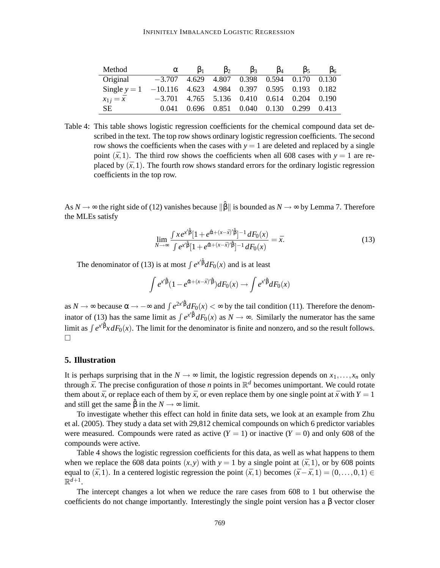| Method                                                     | $\alpha$                                     | 15 <sub>1</sub> | $\mathfrak{b}_2$                                | b٩ | $\mathbf{5}_4$ | IJ٢ | $\beta_6$ |
|------------------------------------------------------------|----------------------------------------------|-----------------|-------------------------------------------------|----|----------------|-----|-----------|
| Original                                                   | $-3.707$ 4.629 4.807 0.398 0.594 0.170 0.130 |                 |                                                 |    |                |     |           |
| Single $y = 1$ -10.116 4.623 4.984 0.397 0.595 0.193 0.182 |                                              |                 |                                                 |    |                |     |           |
| $x_{1 i} = \bar{x}$                                        | $-3.701$ 4.765 5.136 0.410 0.614 0.204 0.190 |                 |                                                 |    |                |     |           |
| SE.                                                        | 0.041                                        |                 | $0.696$ $0.851$ $0.040$ $0.130$ $0.299$ $0.413$ |    |                |     |           |

Table 4: This table shows logistic regression coefficients for the chemical compound data set described in the text. The top row shows ordinary logistic regression coefficients. The second row shows the coefficients when the cases with  $y = 1$  are deleted and replaced by a single point  $(\bar{x}, 1)$ . The third row shows the coefficients when all 608 cases with  $y = 1$  are replaced by  $(\bar{x}, 1)$ . The fourth row shows standard errors for the ordinary logistic regression coefficients in the top row.

As  $N \to \infty$  the right side of (12) vanishes because  $\|\hat{\beta}\|$  is bounded as  $N \to \infty$  by Lemma 7. Therefore the MLEs satisfy

$$
\lim_{N \to \infty} \frac{\int x e^{x^i \hat{\beta}} [1 + e^{\hat{\alpha} + (x - \bar{x})^i \hat{\beta}}]^{-1} dF_0(x)}{\int e^{x^i \hat{\beta}} [1 + e^{\hat{\alpha} + (x - \bar{x})^i \hat{\beta}}]^{-1} dF_0(x)} = \bar{x}.
$$
\n(13)

The denominator of (13) is at most  $\int e^{x^i \hat{\beta}} dF_0(x)$  and is at least

$$
\int e^{x'\hat{\beta}}(1-e^{\hat{\alpha}+(x-\bar{x})'\hat{\beta}})dF_0(x) \to \int e^{x'\hat{\beta}}dF_0(x)
$$

as  $N \to \infty$  because  $\alpha \to -\infty$  and  $\int e^{2x/\hat{\beta}} dF_0(x) < \infty$  by the tail condition (11). Therefore the denominator of (13) has the same limit as  $\int e^{x/\beta} dF_0(x)$  as  $N \to \infty$ . Similarly the numerator has the same limit as  $\int e^{x/\hat{\beta}} x dF_0(x)$ . The limit for the denominator is finite and nonzero, and so the result follows.  $\Box$ 

## **5. Illustration**

It is perhaps surprising that in the  $N \to \infty$  limit, the logistic regression depends on  $x_1, \ldots, x_n$  only through  $\bar{x}$ . The precise configuration of those *n* points in  $\mathbb{R}^d$  becomes unimportant. We could rotate them about  $\bar{x}$ , or replace each of them by  $\bar{x}$ , or even replace them by one single point at  $\bar{x}$  with  $Y = 1$ and still get the same  $\hat{\beta}$  in the  $N \rightarrow \infty$  limit.

To investigate whether this effect can hold in finite data sets, we look at an example from Zhu et al. (2005). They study a data set with 29,812 chemical compounds on which 6 predictor variables were measured. Compounds were rated as active  $(Y = 1)$  or inactive  $(Y = 0)$  and only 608 of the compounds were active.

Table 4 shows the logistic regression coefficients for this data, as well as what happens to them when we replace the 608 data points  $(x, y)$  with  $y = 1$  by a single point at  $(\bar{x}, 1)$ , or by 608 points equal to  $(\bar{x}, 1)$ . In a centered logistic regression the point  $(\bar{x}, 1)$  becomes  $(\bar{x} - \bar{x}, 1) = (0, \ldots, 0, 1) \in$  $\mathbb{R}^{d+1}$ .

The intercept changes a lot when we reduce the rare cases from 608 to 1 but otherwise the coefficients do not change importantly. Interestingly the single point version has a  $\beta$  vector closer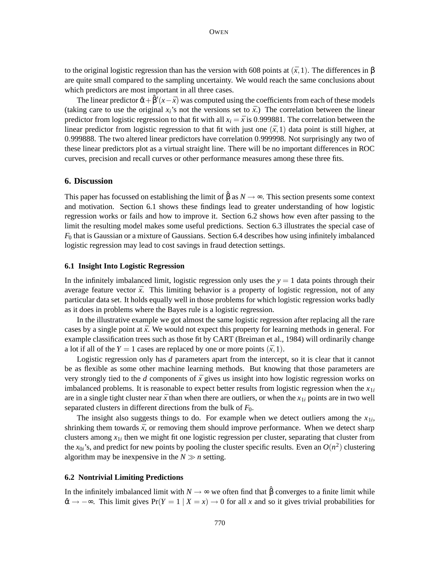to the original logistic regression than has the version with 608 points at  $(\bar{x}, 1)$ . The differences in β are quite small compared to the sampling uncertainty. We would reach the same conclusions about which predictors are most important in all three cases.

The linear predictor  $\hat{\alpha} + \hat{\beta}'(x - \bar{x})$  was computed using the coefficients from each of these models (taking care to use the original  $x_i$ 's not the versions set to  $\bar{x}$ .) The correlation between the linear predictor from logistic regression to that fit with all  $x_i = \bar{x}$  is 0.999881. The correlation between the linear predictor from logistic regression to that fit with just one  $(\bar{x}, 1)$  data point is still higher, at 0.999888. The two altered linear predictors have correlation 0.999998. Not surprisingly any two of these linear predictors plot as a virtual straight line. There will be no important differences in ROC curves, precision and recall curves or other performance measures among these three fits.

### **6. Discussion**

This paper has focussed on establishing the limit of  $\hat{\beta}$  as  $N \rightarrow \infty$ . This section presents some context and motivation. Section 6.1 shows these findings lead to greater understanding of how logistic regression works or fails and how to improve it. Section 6.2 shows how even after passing to the limit the resulting model makes some useful predictions. Section 6.3 illustrates the special case of *F*<sup>0</sup> that is Gaussian or a mixture of Gaussians. Section 6.4 describes how using infinitely imbalanced logistic regression may lead to cost savings in fraud detection settings.

### **6.1 Insight Into Logistic Regression**

In the infinitely imbalanced limit, logistic regression only uses the  $y = 1$  data points through their average feature vector  $\bar{x}$ . This limiting behavior is a property of logistic regression, not of any particular data set. It holds equally well in those problems for which logistic regression works badly as it does in problems where the Bayes rule is a logistic regression.

In the illustrative example we got almost the same logistic regression after replacing all the rare cases by a single point at  $\bar{x}$ . We would not expect this property for learning methods in general. For example classification trees such as those fit by CART (Breiman et al., 1984) will ordinarily change a lot if all of the  $Y = 1$  cases are replaced by one or more points  $(\bar{x}, 1)$ .

Logistic regression only has *d* parameters apart from the intercept, so it is clear that it cannot be as flexible as some other machine learning methods. But knowing that those parameters are very strongly tied to the *d* components of  $\bar{x}$  gives us insight into how logistic regression works on imbalanced problems. It is reasonable to expect better results from logistic regression when the  $x_{1i}$ are in a single tight cluster near  $\bar{x}$  than when there are outliers, or when the  $x_{1i}$  points are in two well separated clusters in different directions from the bulk of *F*0.

The insight also suggests things to do. For example when we detect outliers among the  $x_{1i}$ , shrinking them towards  $\bar{x}$ , or removing them should improve performance. When we detect sharp clusters among  $x_{1i}$  then we might fit one logistic regression per cluster, separating that cluster from the  $x_{0i}$ 's, and predict for new points by pooling the cluster specific results. Even an  $O(n^2)$  clustering algorithm may be inexpensive in the  $N \gg n$  setting.

## **6.2 Nontrivial Limiting Predictions**

In the infinitely imbalanced limit with  $N \to \infty$  we often find that  $\hat{\beta}$  converges to a finite limit while  $\hat{\alpha} \rightarrow -\infty$ . This limit gives Pr(*Y* = 1 | *X* = *x*)  $\rightarrow$  0 for all *x* and so it gives trivial probabilities for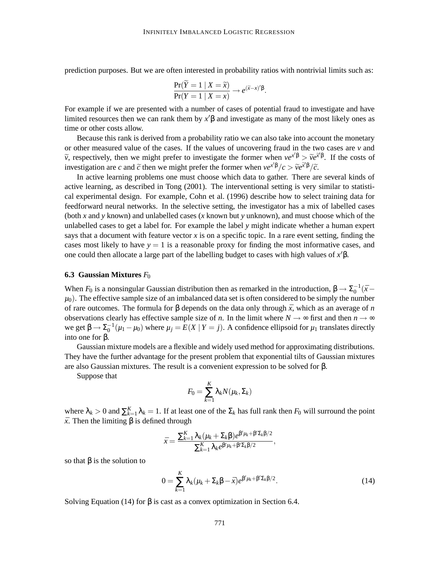prediction purposes. But we are often interested in probability ratios with nontrivial limits such as:

$$
\frac{\Pr(Y=1 | X=\widetilde{x})}{\Pr(Y=1 | X=x)} \rightarrow e^{(\widetilde{x}-x)'\beta}.
$$

For example if we are presented with a number of cases of potential fraud to investigate and have limited resources then we can rank them by  $x' \beta$  and investigate as many of the most likely ones as time or other costs allow.

Because this rank is derived from a probability ratio we can also take into account the monetary or other measured value of the cases. If the values of uncovering fraud in the two cases are *v* and  $\widetilde{v}$ , respectively, then we might prefer to investigate the former when  $ve^{x\beta} > \widetilde{v}e^{\widetilde{x}\beta}$ . If the costs of investigation are *c* and  $\tilde{c}$  then we might prefer the former when  $ve^{x'\beta}/c > \tilde{v}e^{\tilde{x}'\beta}/\tilde{c}$ .

In active learning problems one must choose which data to gather. There are several kinds of active learning, as described in Tong (2001). The interventional setting is very similar to statistical experimental design. For example, Cohn et al. (1996) describe how to select training data for feedforward neural networks. In the selective setting, the investigator has a mix of labelled cases (both *x* and *y* known) and unlabelled cases (*x* known but *y* unknown), and must choose which of the unlabelled cases to get a label for. For example the label *y* might indicate whether a human expert says that a document with feature vector *x* is on a specific topic. In a rare event setting, finding the cases most likely to have  $y = 1$  is a reasonable proxy for finding the most informative cases, and one could then allocate a large part of the labelling budget to cases with high values of  $x'$ β.

#### **6.3 Gaussian Mixtures** *F*<sup>0</sup>

When  $F_0$  is a nonsingular Gaussian distribution then as remarked in the introduction,  $\beta \to \Sigma_0^{-1}(\bar{x} \mu_0$ ). The effective sample size of an imbalanced data set is often considered to be simply the number of rare outcomes. The formula for β depends on the data only through *x*¯, which as an average of *n* observations clearly has effective sample size of *n*. In the limit where  $N \to \infty$  first and then  $n \to \infty$  $\mathbf{w}$ e get β →  $\Sigma_0^{-1}(\mu_1 - \mu_0)$  where  $\mu_j = E(X \mid Y = j)$ . A confidence ellipsoid for  $\mu_1$  translates directly into one for β.

Gaussian mixture models are a flexible and widely used method for approximating distributions. They have the further advantage for the present problem that exponential tilts of Gaussian mixtures are also Gaussian mixtures. The result is a convenient expression to be solved for β.

Suppose that

$$
F_0 = \sum_{k=1}^K \lambda_k N(\mu_k, \Sigma_k)
$$

where  $\lambda_k > 0$  and  $\sum_{k=1}^K \lambda_k = 1$ . If at least one of the  $\Sigma_k$  has full rank then  $F_0$  will surround the point  $\bar{x}$ . Then the limiting  $\beta$  is defined through

$$
\bar{x} = \frac{\sum_{k=1}^K \lambda_k (\mu_k + \Sigma_k \beta) e^{\beta' \mu_k + \beta' \Sigma_k \beta/2}}{\sum_{k=1}^K \lambda_k e^{\beta' \mu_k + \beta' \Sigma_k \beta/2}},
$$

so that  $\beta$  is the solution to

$$
0 = \sum_{k=1}^{K} \lambda_k (\mu_k + \Sigma_k \beta - \bar{x}) e^{\beta' \mu_k + \beta' \Sigma_k \beta / 2}.
$$
 (14)

Solving Equation (14) for  $\beta$  is cast as a convex optimization in Section 6.4.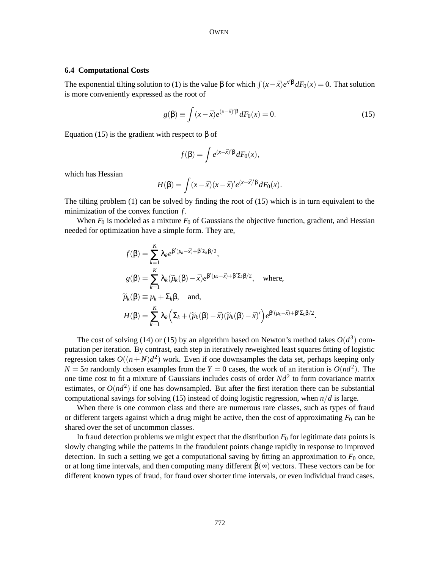#### **6.4 Computational Costs**

The exponential tilting solution to (1) is the value  $\beta$  for which  $\int (x - \bar{x})e^{x/\beta} dF_0(x) = 0$ . That solution is more conveniently expressed as the root of

$$
g(\beta) \equiv \int (x - \bar{x}) e^{(x - \bar{x})'\beta} dF_0(x) = 0.
$$
 (15)

Equation (15) is the gradient with respect to  $β$  of

$$
f(\beta) = \int e^{(x-\bar{x})'\beta} dF_0(x),
$$

which has Hessian

$$
H(\beta) = \int (x - \bar{x})(x - \bar{x})' e^{(x - \bar{x})'\beta} dF_0(x).
$$

The tilting problem (1) can be solved by finding the root of (15) which is in turn equivalent to the minimization of the convex function *f* .

When  $F_0$  is modeled as a mixture  $F_0$  of Gaussians the objective function, gradient, and Hessian needed for optimization have a simple form. They are,

$$
f(\beta) = \sum_{k=1}^{K} \lambda_k e^{\beta'(\mu_k - \bar{x}) + \beta' \Sigma_k \beta/2},
$$
  
\n
$$
g(\beta) = \sum_{k=1}^{K} \lambda_k (\widetilde{\mu}_k(\beta) - \bar{x}) e^{\beta'(\mu_k - \bar{x}) + \beta' \Sigma_k \beta/2}, \text{ where,}
$$
  
\n
$$
\widetilde{\mu}_k(\beta) \equiv \mu_k + \Sigma_k \beta, \text{ and,}
$$
  
\n
$$
H(\beta) = \sum_{k=1}^{K} \lambda_k (\Sigma_k + (\widetilde{\mu}_k(\beta) - \bar{x}) (\widetilde{\mu}_k(\beta) - \bar{x})') e^{\beta'(\mu_k - \bar{x}) + \beta' \Sigma_k \beta/2}.
$$

The cost of solving (14) or (15) by an algorithm based on Newton's method takes  $O(d^3)$  computation per iteration. By contrast, each step in iteratively reweighted least squares fitting of logistic regression takes  $O((n+N)d^2)$  work. Even if one downsamples the data set, perhaps keeping only  $N = 5n$  randomly chosen examples from the  $Y = 0$  cases, the work of an iteration is  $O(nd^2)$ . The one time cost to fit a mixture of Gaussians includes costs of order  $Nd^2$  to form covariance matrix estimates, or  $O(nd^2)$  if one has downsampled. But after the first iteration there can be substantial computational savings for solving (15) instead of doing logistic regression, when *n*/*d* is large.

When there is one common class and there are numerous rare classes, such as types of fraud or different targets against which a drug might be active, then the cost of approximating  $F_0$  can be shared over the set of uncommon classes.

In fraud detection problems we might expect that the distribution  $F_0$  for legitimate data points is slowly changing while the patterns in the fraudulent points change rapidly in response to improved detection. In such a setting we get a computational saving by fitting an approximation to  $F_0$  once, or at long time intervals, and then computing many different  $\beta(\infty)$  vectors. These vectors can be for different known types of fraud, for fraud over shorter time intervals, or even individual fraud cases.